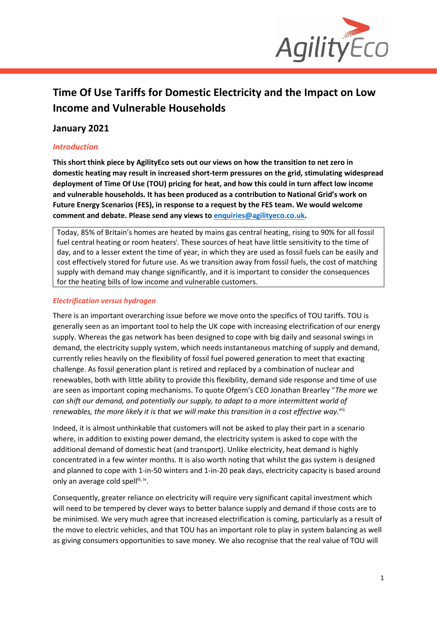

# **Time Of Use Tariffs for Domestic Electricity and the Impact on Low Income and Vulnerable Households**

## **January 2021**

## *Introduction*

**This short think piece by AgilityEco sets out our views on how the transition to net zero in domestic heating may result in increased short-term pressures on the grid, stimulating widespread deployment of Time Of Use (TOU) pricing for heat, and how this could in turn affect low income and vulnerable households. It has been produced as a contribution to National Grid's work on Future Energy Scenarios (FES), in response to a request by the FES team. We would welcome comment and debate. Please send any views to [enquiries@agilityeco.co.uk.](mailto:enquiries@agilityeco.co.uk)**

Today, 85% of Britain's homes are heated by mains gas central heating, rising to 90% for all fossil fuel central heating or room heaters<sup>i</sup>. These sources of heat have little sensitivity to the time of day, and to a lesser extent the time of year, in which they are used as fossil fuels can be easily and cost effectively stored for future use. As we transition away from fossil fuels, the cost of matching supply with demand may change significantly, and it is important to consider the consequences for the heating bills of low income and vulnerable customers.

### *Electrification versus hydrogen*

There is an important overarching issue before we move onto the specifics of TOU tariffs. TOU is generally seen as an important tool to help the UK cope with increasing electrification of our energy supply. Whereas the gas network has been designed to cope with big daily and seasonal swings in demand, the electricity supply system, which needs instantaneous matching of supply and demand, currently relies heavily on the flexibility of fossil fuel powered generation to meet that exacting challenge. As fossil generation plant is retired and replaced by a combination of nuclear and renewables, both with little ability to provide this flexibility, demand side response and time of use are seen as important coping mechanisms. To quote Ofgem's CEO Jonathan Brearley "*The more we can shift our demand, and potentially our supply, to adapt to a more intermittent world of*  renewables, the more likely it is that we will make this transition in a cost effective way."<sup>ii</sup>

Indeed, it is almost unthinkable that customers will not be asked to play their part in a scenario where, in addition to existing power demand, the electricity system is asked to cope with the additional demand of domestic heat (and transport). Unlike electricity, heat demand is highly concentrated in a few winter months. It is also worth noting that whilst the gas system is designed and planned to cope with 1-in-50 winters and 1-in-20 peak days, electricity capacity is based around only an average cold spellili, iv.

Consequently, greater reliance on electricity will require very significant capital investment which will need to be tempered by clever ways to better balance supply and demand if those costs are to be minimised. We very much agree that increased electrification is coming, particularly as a result of the move to electric vehicles, and that TOU has an important role to play in system balancing as well as giving consumers opportunities to save money. We also recognise that the real value of TOU will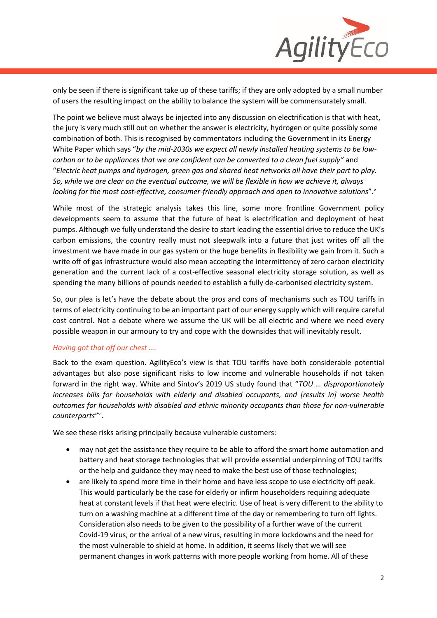

only be seen if there is significant take up of these tariffs; if they are only adopted by a small number of users the resulting impact on the ability to balance the system will be commensurately small.

The point we believe must always be injected into any discussion on electrification is that with heat, the jury is very much still out on whether the answer is electricity, hydrogen or quite possibly some combination of both. This is recognised by commentators including the Government in its Energy White Paper which says "*by the mid-2030s we expect all newly installed heating systems to be lowcarbon or to be appliances that we are confident can be converted to a clean fuel supply"* and "*Electric heat pumps and hydrogen, green gas and shared heat networks all have their part to play. So, while we are clear on the eventual outcome, we will be flexible in how we achieve it, always*  looking for the most cost-effective, consumer-friendly approach and open to innovative solutions".<sup>v</sup>

While most of the strategic analysis takes this line, some more frontline Government policy developments seem to assume that the future of heat is electrification and deployment of heat pumps. Although we fully understand the desire to start leading the essential drive to reduce the UK's carbon emissions, the country really must not sleepwalk into a future that just writes off all the investment we have made in our gas system or the huge benefits in flexibility we gain from it. Such a write off of gas infrastructure would also mean accepting the intermittency of zero carbon electricity generation and the current lack of a cost-effective seasonal electricity storage solution, as well as spending the many billions of pounds needed to establish a fully de-carbonised electricity system.

So, our plea is let's have the debate about the pros and cons of mechanisms such as TOU tariffs in terms of electricity continuing to be an important part of our energy supply which will require careful cost control. Not a debate where we assume the UK will be all electric and where we need every possible weapon in our armoury to try and cope with the downsides that will inevitably result.

#### *Having got that off our chest ….*

Back to the exam question. AgilityEco's view is that TOU tariffs have both considerable potential advantages but also pose significant risks to low income and vulnerable households if not taken forward in the right way. White and Sintov's 2019 US study found that "*TOU … disproportionately increases bills for households with elderly and disabled occupants, and [results in] worse health outcomes for households with disabled and ethnic minority occupants than those for non-vulnerable*  counterparts"<sup>vi</sup>.

We see these risks arising principally because vulnerable customers:

- may not get the assistance they require to be able to afford the smart home automation and battery and heat storage technologies that will provide essential underpinning of TOU tariffs or the help and guidance they may need to make the best use of those technologies;
- are likely to spend more time in their home and have less scope to use electricity off peak. This would particularly be the case for elderly or infirm householders requiring adequate heat at constant levels if that heat were electric. Use of heat is very different to the ability to turn on a washing machine at a different time of the day or remembering to turn off lights. Consideration also needs to be given to the possibility of a further wave of the current Covid-19 virus, or the arrival of a new virus, resulting in more lockdowns and the need for the most vulnerable to shield at home. In addition, it seems likely that we will see permanent changes in work patterns with more people working from home. All of these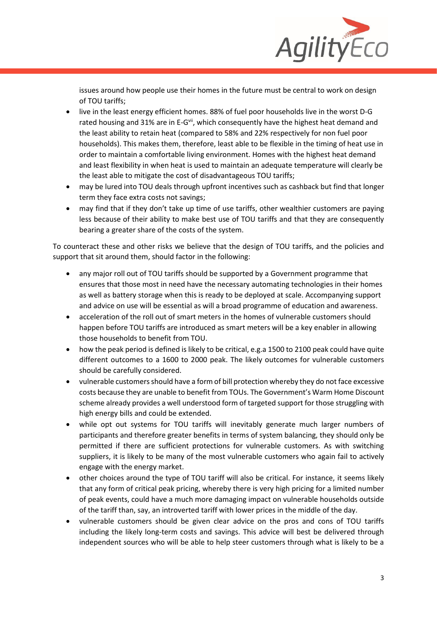

issues around how people use their homes in the future must be central to work on design of TOU tariffs;

- live in the least energy efficient homes. 88% of fuel poor households live in the worst D-G rated housing and 31% are in E-G<sup>vii</sup>, which consequently have the highest heat demand and the least ability to retain heat (compared to 58% and 22% respectively for non fuel poor households). This makes them, therefore, least able to be flexible in the timing of heat use in order to maintain a comfortable living environment. Homes with the highest heat demand and least flexibility in when heat is used to maintain an adequate temperature will clearly be the least able to mitigate the cost of disadvantageous TOU tariffs;
- may be lured into TOU deals through upfront incentives such as cashback but find that longer term they face extra costs not savings;
- may find that if they don't take up time of use tariffs, other wealthier customers are paying less because of their ability to make best use of TOU tariffs and that they are consequently bearing a greater share of the costs of the system.

To counteract these and other risks we believe that the design of TOU tariffs, and the policies and support that sit around them, should factor in the following:

- any major roll out of TOU tariffs should be supported by a Government programme that ensures that those most in need have the necessary automating technologies in their homes as well as battery storage when this is ready to be deployed at scale. Accompanying support and advice on use will be essential as will a broad programme of education and awareness.
- acceleration of the roll out of smart meters in the homes of vulnerable customers should happen before TOU tariffs are introduced as smart meters will be a key enabler in allowing those households to benefit from TOU.
- how the peak period is defined is likely to be critical, e.g.a 1500 to 2100 peak could have quite different outcomes to a 1600 to 2000 peak. The likely outcomes for vulnerable customers should be carefully considered.
- vulnerable customers should have a form of bill protection whereby they do not face excessive costs because they are unable to benefit from TOUs. The Government's Warm Home Discount scheme already provides a well understood form of targeted support for those struggling with high energy bills and could be extended.
- while opt out systems for TOU tariffs will inevitably generate much larger numbers of participants and therefore greater benefits in terms of system balancing, they should only be permitted if there are sufficient protections for vulnerable customers. As with switching suppliers, it is likely to be many of the most vulnerable customers who again fail to actively engage with the energy market.
- other choices around the type of TOU tariff will also be critical. For instance, it seems likely that any form of critical peak pricing, whereby there is very high pricing for a limited number of peak events, could have a much more damaging impact on vulnerable households outside of the tariff than, say, an introverted tariff with lower prices in the middle of the day.
- vulnerable customers should be given clear advice on the pros and cons of TOU tariffs including the likely long-term costs and savings. This advice will best be delivered through independent sources who will be able to help steer customers through what is likely to be a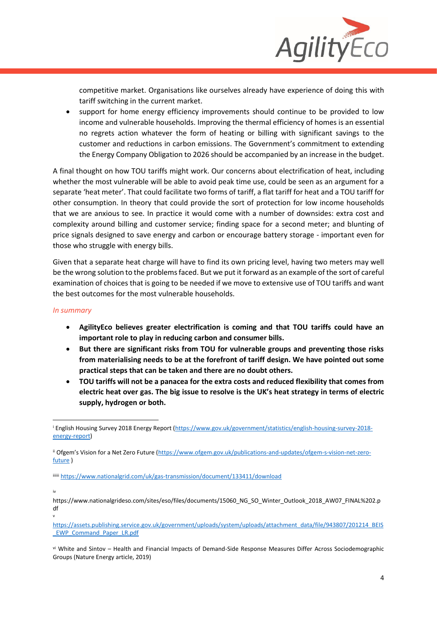

competitive market. Organisations like ourselves already have experience of doing this with tariff switching in the current market.

• support for home energy efficiency improvements should continue to be provided to low income and vulnerable households. Improving the thermal efficiency of homes is an essential no regrets action whatever the form of heating or billing with significant savings to the customer and reductions in carbon emissions. The Government's commitment to extending the Energy Company Obligation to 2026 should be accompanied by an increase in the budget.

A final thought on how TOU tariffs might work. Our concerns about electrification of heat, including whether the most vulnerable will be able to avoid peak time use, could be seen as an argument for a separate 'heat meter'. That could facilitate two forms of tariff, a flat tariff for heat and a TOU tariff for other consumption. In theory that could provide the sort of protection for low income households that we are anxious to see. In practice it would come with a number of downsides: extra cost and complexity around billing and customer service; finding space for a second meter; and blunting of price signals designed to save energy and carbon or encourage battery storage - important even for those who struggle with energy bills.

Given that a separate heat charge will have to find its own pricing level, having two meters may well be the wrong solution to the problems faced. But we put it forward as an example of the sort of careful examination of choices that is going to be needed if we move to extensive use of TOU tariffs and want the best outcomes for the most vulnerable households.

#### *In summary*

- **AgilityEco believes greater electrification is coming and that TOU tariffs could have an important role to play in reducing carbon and consumer bills.**
- **But there are significant risks from TOU for vulnerable groups and preventing those risks from materialising needs to be at the forefront of tariff design. We have pointed out some practical steps that can be taken and there are no doubt others.**
- **TOU tariffs will not be a panacea for the extra costs and reduced flexibility that comes from electric heat over gas. The big issue to resolve is the UK's heat strategy in terms of electric supply, hydrogen or both.**

vi White and Sintov – Health and Financial Impacts of Demand-Side Response Measures Differ Across Sociodemographic Groups (Nature Energy article, 2019)

<sup>&</sup>lt;sup>i</sup> English Housing Survey 2018 Energy Report [\(https://www.gov.uk/government/statistics/english-housing-survey-2018](https://www.gov.uk/government/statistics/english-housing-survey-2018-energy-report) [energy-report\)](https://www.gov.uk/government/statistics/english-housing-survey-2018-energy-report)

ii Ofgem's Vision for a Net Zero Future ([https://www.ofgem.gov.uk/publications-and-updates/ofgem-s-vision-net-zero](https://www.ofgem.gov.uk/publications-and-updates/ofgem-s-vision-net-zero-future)[future](https://www.ofgem.gov.uk/publications-and-updates/ofgem-s-vision-net-zero-future) )

iiiiii <https://www.nationalgrid.com/uk/gas-transmission/document/133411/download>

iv

https://www.nationalgrideso.com/sites/eso/files/documents/15060\_NG\_SO\_Winter\_Outlook\_2018\_AW07\_FINAL%202.p df v

[https://assets.publishing.service.gov.uk/government/uploads/system/uploads/attachment\\_data/file/943807/201214\\_BEIS](https://assets.publishing.service.gov.uk/government/uploads/system/uploads/attachment_data/file/943807/201214_BEIS_EWP_Command_Paper_LR.pdf)\_ [\\_EWP\\_Command\\_Paper\\_LR.pdf](https://assets.publishing.service.gov.uk/government/uploads/system/uploads/attachment_data/file/943807/201214_BEIS_EWP_Command_Paper_LR.pdf)